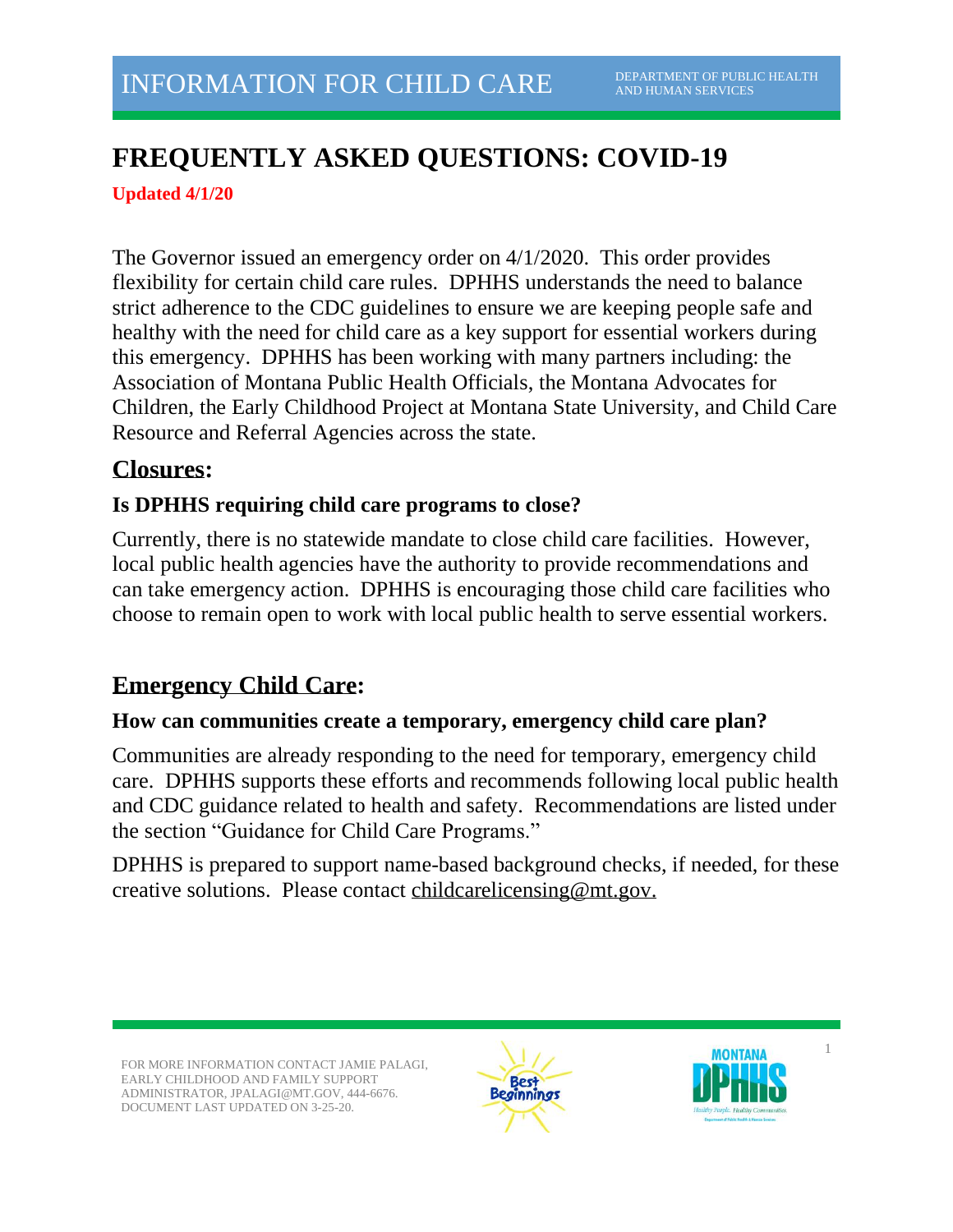# **FREQUENTLY ASKED QUESTIONS: COVID-19**

**Updated 4/1/20**

The Governor issued an emergency order on 4/1/2020. This order provides flexibility for certain child care rules. DPHHS understands the need to balance strict adherence to the CDC guidelines to ensure we are keeping people safe and healthy with the need for child care as a key support for essential workers during this emergency. DPHHS has been working with many partners including: the Association of Montana Public Health Officials, the Montana Advocates for Children, the Early Childhood Project at Montana State University, and Child Care Resource and Referral Agencies across the state.

# **Closures:**

# **Is DPHHS requiring child care programs to close?**

Currently, there is no statewide mandate to close child care facilities. However, local public health agencies have the authority to provide recommendations and can take emergency action. DPHHS is encouraging those child care facilities who choose to remain open to work with local public health to serve essential workers.

# **Emergency Child Care:**

#### **How can communities create a temporary, emergency child care plan?**

Communities are already responding to the need for temporary, emergency child care. DPHHS supports these efforts and recommends following local public health and CDC guidance related to health and safety. Recommendations are listed under the section "Guidance for Child Care Programs."

DPHHS is prepared to support name-based background checks, if needed, for these creative solutions. Please contact [childcarelicensing@mt.gov.](mailto:childcarelicensing@mt.gov)

FOR MORE INFORMATION CONTACT JAMIE PALAGI, EARLY CHILDHOOD AND FAMILY SUPPORT ADMINISTRATOR, JPALAGI@MT.GOV, 444-6676. DOCUMENT LAST UPDATED ON 3-25-20.



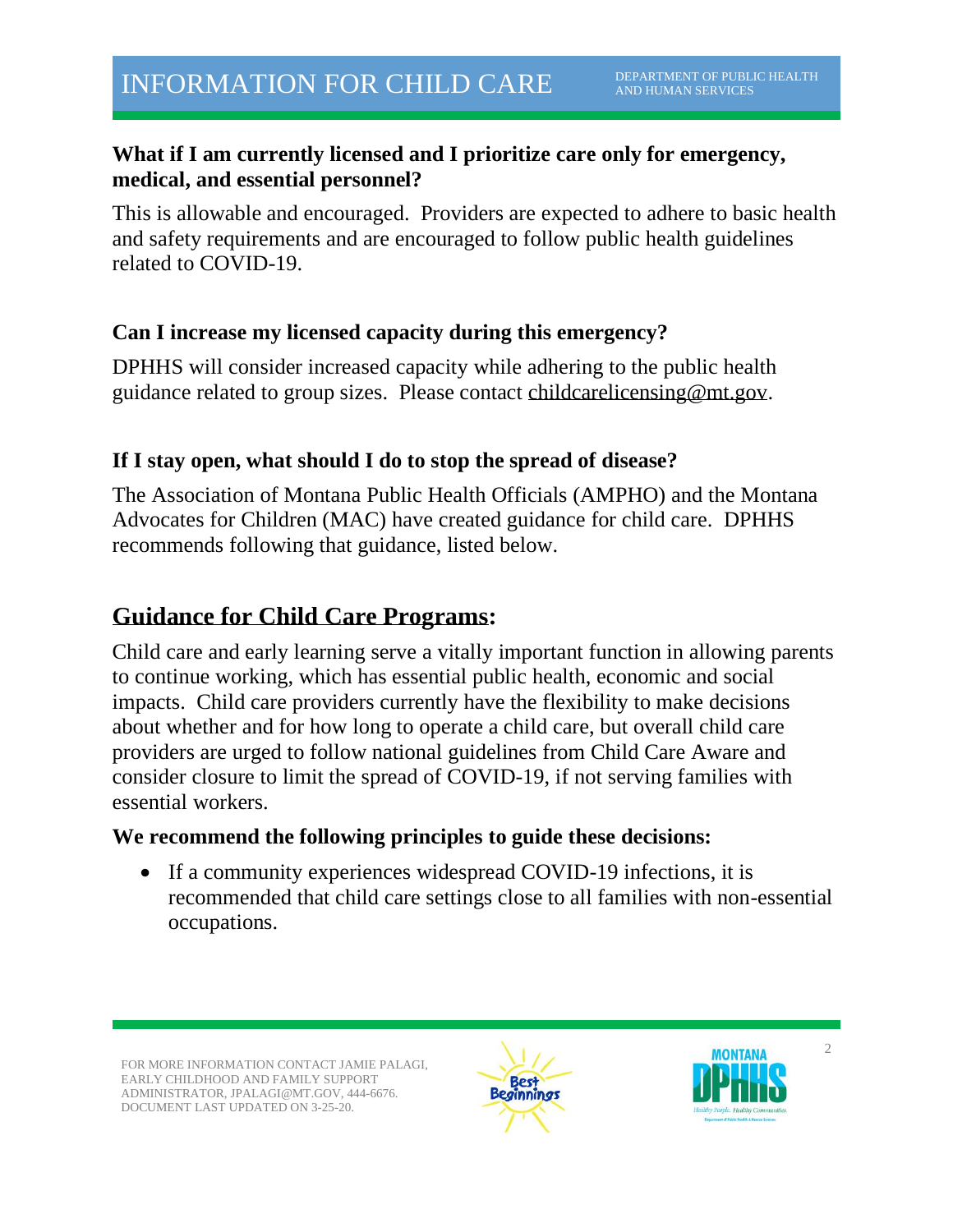#### **What if I am currently licensed and I prioritize care only for emergency, medical, and essential personnel?**

This is allowable and encouraged. Providers are expected to adhere to basic health and safety requirements and are encouraged to follow public health guidelines related to COVID-19.

### **Can I increase my licensed capacity during this emergency?**

DPHHS will consider increased capacity while adhering to the public health guidance related to group sizes. Please contact [childcarelicensing@mt.gov.](mailto:childcarelicensing@mt.gov)

### **If I stay open, what should I do to stop the spread of disease?**

The Association of Montana Public Health Officials (AMPHO) and the Montana Advocates for Children (MAC) have created guidance for child care. DPHHS recommends following that guidance, listed below.

# **Guidance for Child Care Programs:**

Child care and early learning serve a vitally important function in allowing parents to continue working, which has essential public health, economic and social impacts. Child care providers currently have the flexibility to make decisions about whether and for how long to operate a child care, but overall child care providers are urged to follow national guidelines from Child Care Aware and consider closure to limit the spread of COVID-19, if not serving families with essential workers.

#### **We recommend the following principles to guide these decisions:**

• If a community experiences widespread COVID-19 infections, it is recommended that child care settings close to all families with non-essential occupations.

FOR MORE INFORMATION CONTACT JAMIE PALAGI EARLY CHILDHOOD AND FAMILY SUPPORT ADMINISTRATOR, JPALAGI@MT.GOV, 444-6676. DOCUMENT LAST UPDATED ON 3-25-20.





 $\mathfrak{D}$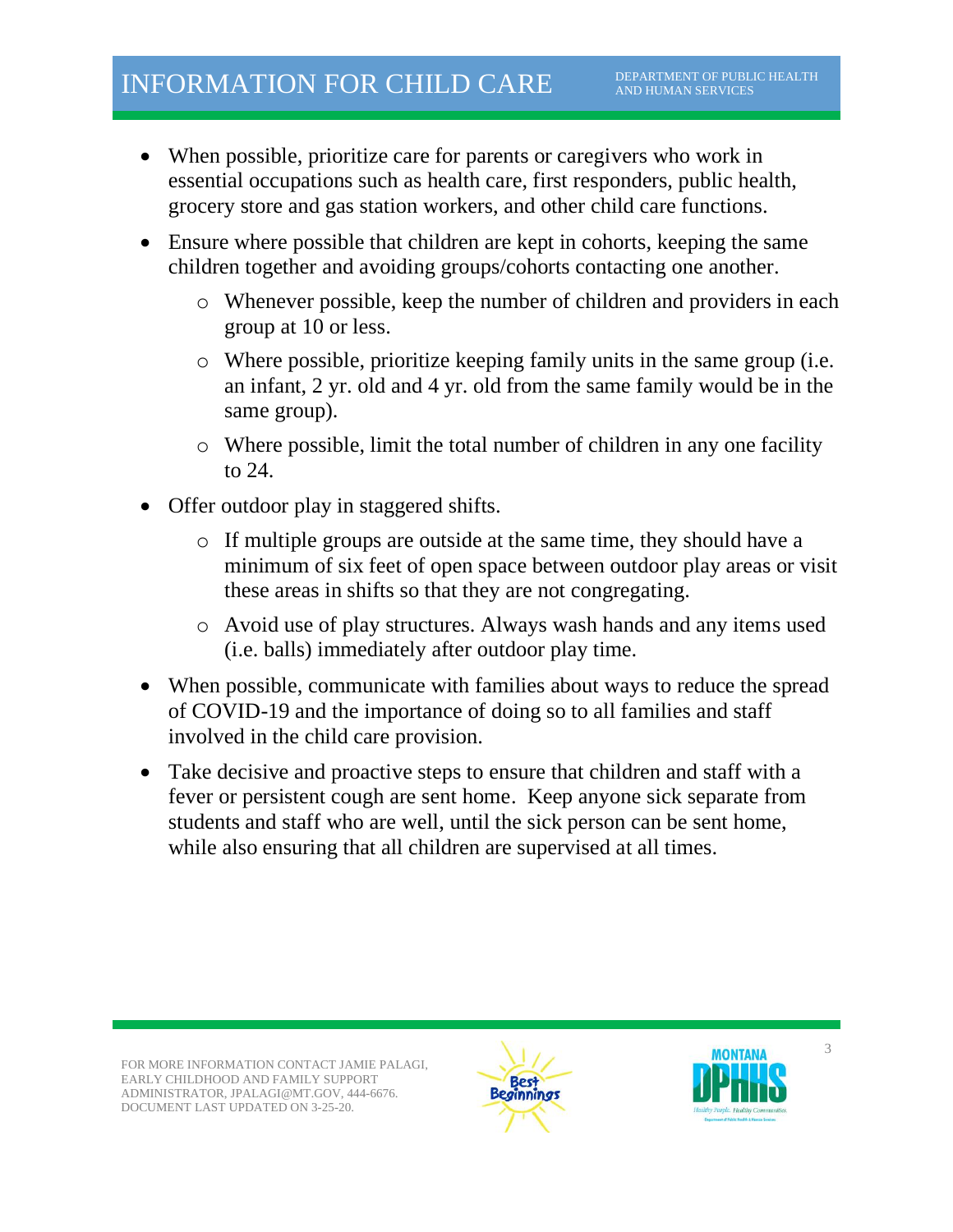- When possible, prioritize care for parents or caregivers who work in essential occupations such as health care, first responders, public health, grocery store and gas station workers, and other child care functions.
- Ensure where possible that children are kept in cohorts, keeping the same children together and avoiding groups/cohorts contacting one another.
	- o Whenever possible, keep the number of children and providers in each group at 10 or less.
	- o Where possible, prioritize keeping family units in the same group (i.e. an infant, 2 yr. old and 4 yr. old from the same family would be in the same group).
	- o Where possible, limit the total number of children in any one facility to 24.
- Offer outdoor play in staggered shifts.
	- o If multiple groups are outside at the same time, they should have a minimum of six feet of open space between outdoor play areas or visit these areas in shifts so that they are not congregating.
	- o Avoid use of play structures. Always wash hands and any items used (i.e. balls) immediately after outdoor play time.
- When possible, communicate with families about ways to reduce the spread of COVID-19 and the importance of doing so to all families and staff involved in the child care provision.
- Take decisive and proactive steps to ensure that children and staff with a fever or persistent cough are sent home. Keep anyone sick separate from students and staff who are well, until the sick person can be sent home, while also ensuring that all children are supervised at all times.



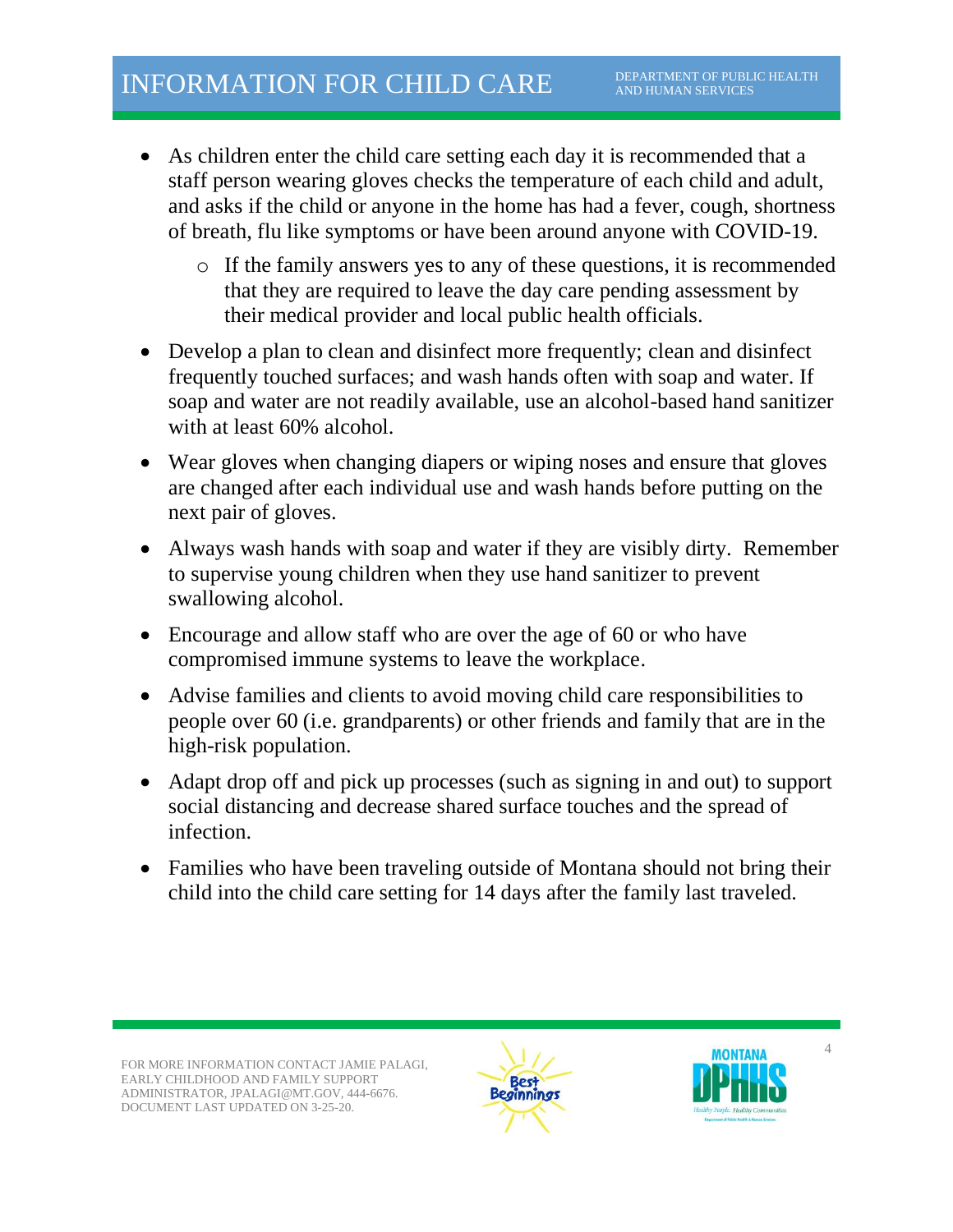- As children enter the child care setting each day it is recommended that a staff person wearing gloves checks the temperature of each child and adult, and asks if the child or anyone in the home has had a fever, cough, shortness of breath, flu like symptoms or have been around anyone with COVID-19.
	- o If the family answers yes to any of these questions, it is recommended that they are required to leave the day care pending assessment by their medical provider and local public health officials.
- Develop a plan to clean and disinfect more frequently; clean and disinfect frequently touched surfaces; and wash hands often with soap and water. If soap and water are not readily available, use an alcohol-based hand sanitizer with at least 60% alcohol.
- Wear gloves when changing diapers or wiping noses and ensure that gloves are changed after each individual use and wash hands before putting on the next pair of gloves.
- Always wash hands with soap and water if they are visibly dirty. Remember to supervise young children when they use hand sanitizer to prevent swallowing alcohol.
- Encourage and allow staff who are over the age of 60 or who have compromised immune systems to leave the workplace.
- Advise families and clients to avoid moving child care responsibilities to people over 60 (i.e. grandparents) or other friends and family that are in the high-risk population.
- Adapt drop off and pick up processes (such as signing in and out) to support social distancing and decrease shared surface touches and the spread of infection.
- Families who have been traveling outside of Montana should not bring their child into the child care setting for 14 days after the family last traveled.

FOR MORE INFORMATION CONTACT JAMIE PALAGI EARLY CHILDHOOD AND FAMILY SUPPORT ADMINISTRATOR, JPALAGI@MT.GOV, 444-6676. DOCUMENT LAST UPDATED ON 3-25-20.



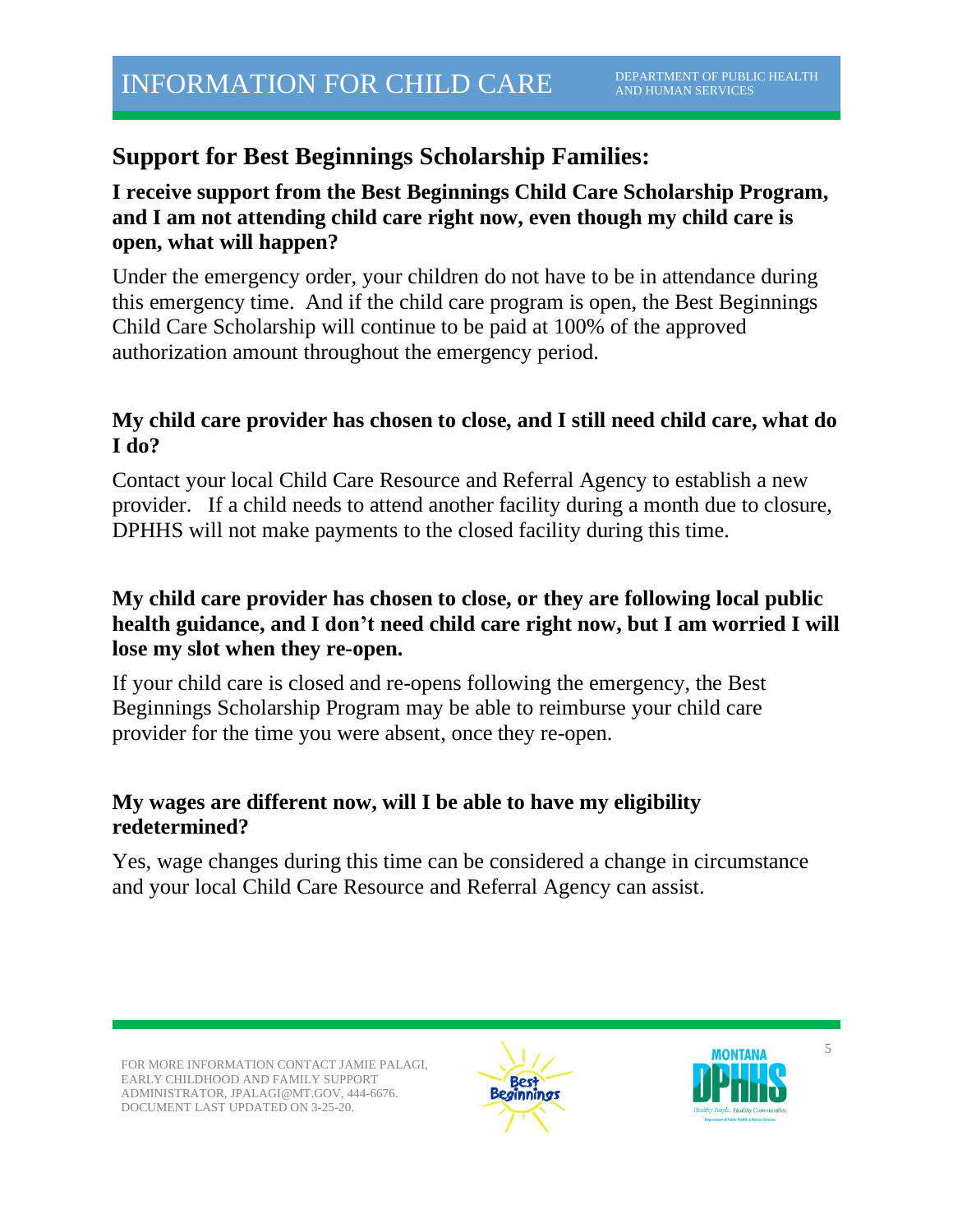# **Support for Best Beginnings Scholarship Families:**

### **I receive support from the Best Beginnings Child Care Scholarship Program, and I am not attending child care right now, even though my child care is open, what will happen?**

Under the emergency order, your children do not have to be in attendance during this emergency time. And if the child care program is open, the Best Beginnings Child Care Scholarship will continue to be paid at 100% of the approved authorization amount throughout the emergency period.

## **My child care provider has chosen to close, and I still need child care, what do I do?**

Contact your local Child Care Resource and Referral Agency to establish a new provider. If a child needs to attend another facility during a month due to closure, DPHHS will not make payments to the closed facility during this time.

### **My child care provider has chosen to close, or they are following local public health guidance, and I don't need child care right now, but I am worried I will lose my slot when they re-open.**

If your child care is closed and re-opens following the emergency, the Best Beginnings Scholarship Program may be able to reimburse your child care provider for the time you were absent, once they re-open.

### **My wages are different now, will I be able to have my eligibility redetermined?**

Yes, wage changes during this time can be considered a change in circumstance and your local Child Care Resource and Referral Agency can assist.

FOR MORE INFORMATION CONTACT JAMIE PALAGI, EARLY CHILDHOOD AND FAMILY SUPPORT ADMINISTRATOR, JPALAGI@MT.GOV, 444-6676. DOCUMENT LAST UPDATED ON 3-25-20.



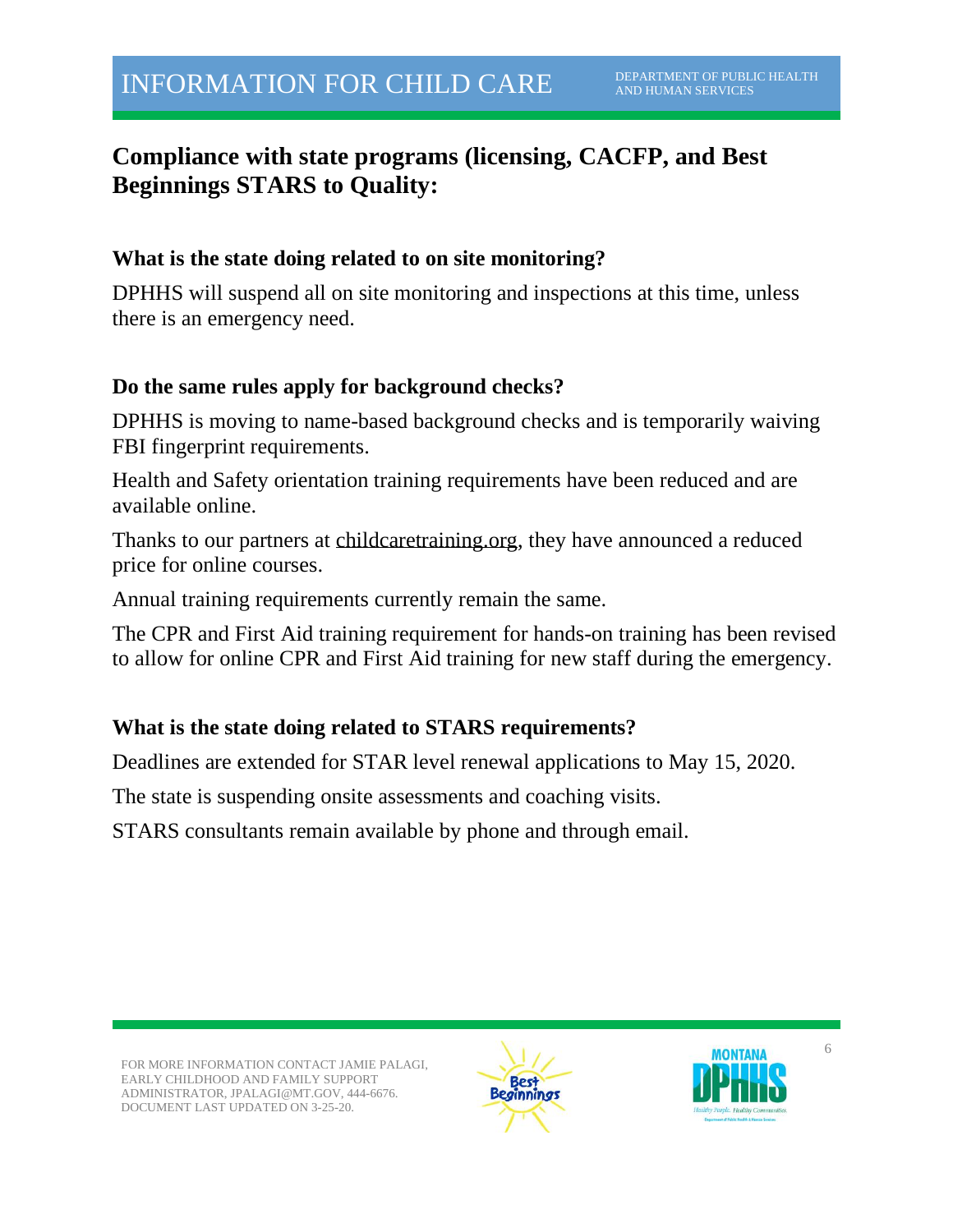# **Compliance with state programs (licensing, CACFP, and Best Beginnings STARS to Quality:**

#### **What is the state doing related to on site monitoring?**

DPHHS will suspend all on site monitoring and inspections at this time, unless there is an emergency need.

#### **Do the same rules apply for background checks?**

DPHHS is moving to name-based background checks and is temporarily waiving FBI fingerprint requirements.

Health and Safety orientation training requirements have been reduced and are available online.

Thanks to our partners at childcaretraining.org, they have announced a reduced price for online courses.

Annual training requirements currently remain the same.

The CPR and First Aid training requirement for hands-on training has been revised to allow for online CPR and First Aid training for new staff during the emergency.

### **What is the state doing related to STARS requirements?**

Deadlines are extended for STAR level renewal applications to May 15, 2020.

The state is suspending onsite assessments and coaching visits.

STARS consultants remain available by phone and through email.



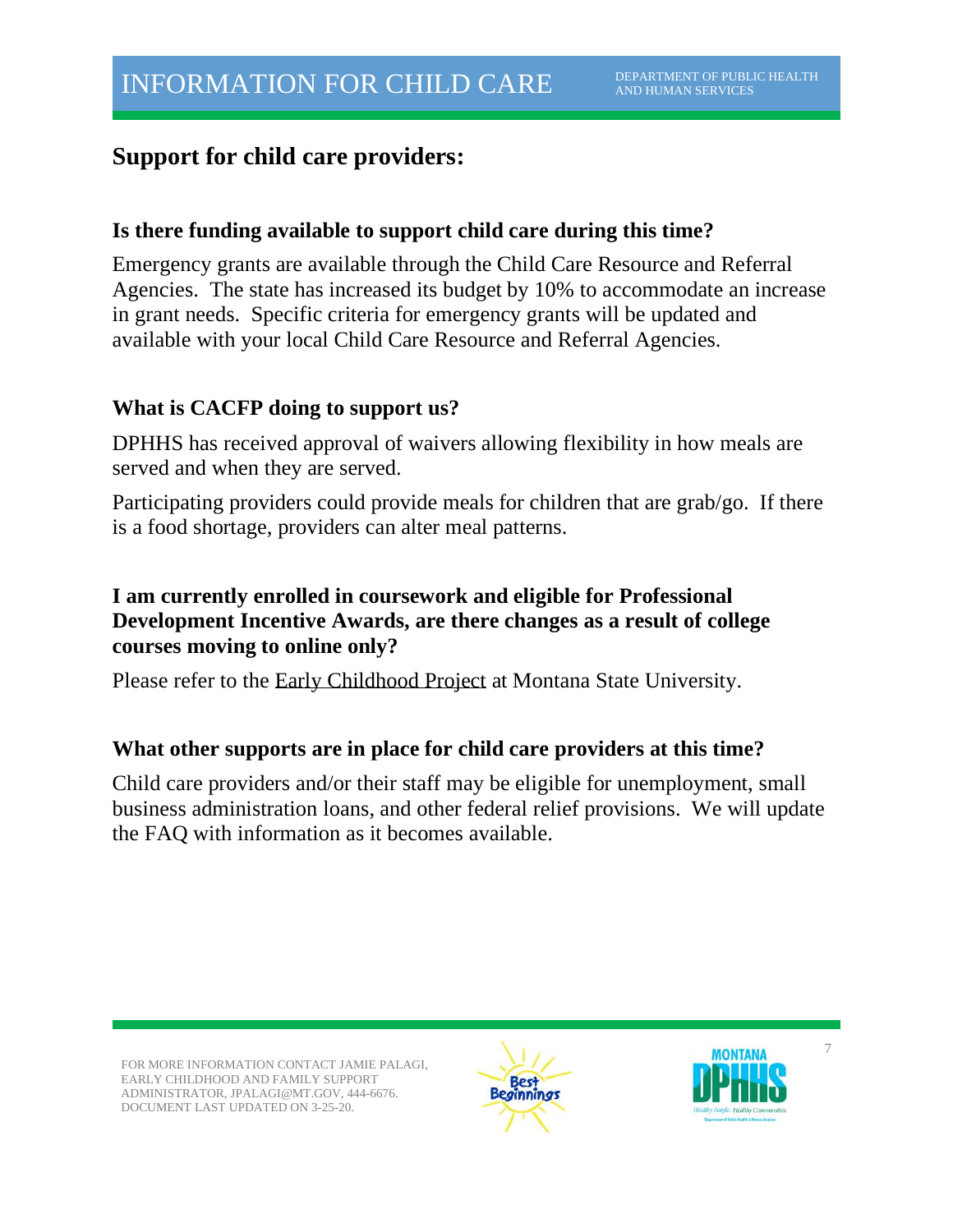# **Support for child care providers:**

#### **Is there funding available to support child care during this time?**

Emergency grants are available through the Child Care Resource and Referral Agencies. The state has increased its budget by 10% to accommodate an increase in grant needs. Specific criteria for emergency grants will be updated and available with your local Child Care Resource and Referral Agencies.

#### **What is CACFP doing to support us?**

DPHHS has received approval of waivers allowing flexibility in how meals are served and when they are served.

Participating providers could provide meals for children that are grab/go. If there is a food shortage, providers can alter meal patterns.

### **I am currently enrolled in coursework and eligible for Professional Development Incentive Awards, are there changes as a result of college courses moving to online only?**

Please refer to the Early [Childhood](http://www.mtecp.org/) Project at Montana State University.

#### **What other supports are in place for child care providers at this time?**

Child care providers and/or their staff may be eligible for unemployment, small business administration loans, and other federal relief provisions. We will update the FAQ with information as it becomes available.

FOR MORE INFORMATION CONTACT JAMIE PALAGI, EARLY CHILDHOOD AND FAMILY SUPPORT ADMINISTRATOR, JPALAGI@MT.GOV, 444-6676. DOCUMENT LAST UPDATED ON 3-25-20.